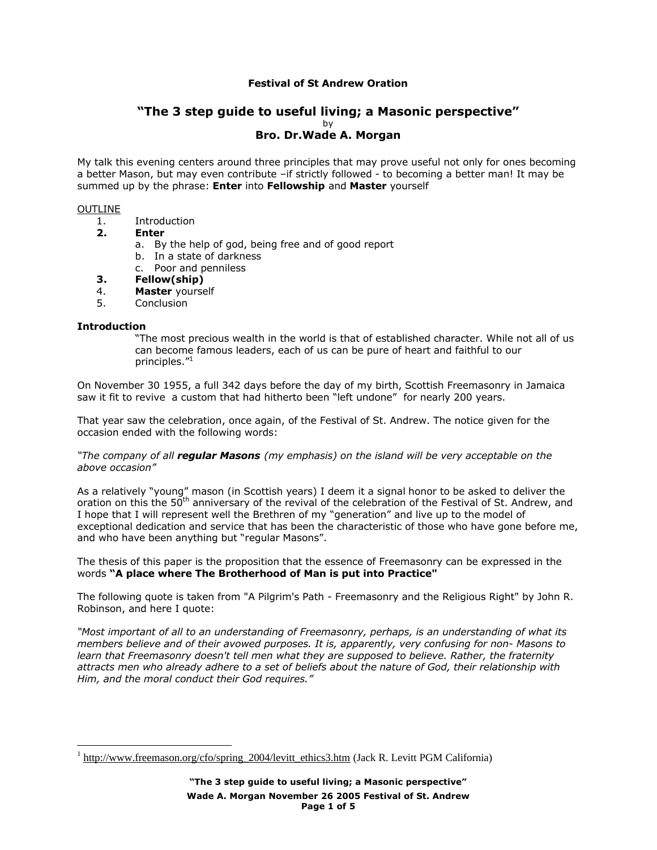# **Festival of St Andrew Oration**

# **"The 3 step guide to useful living; a Masonic perspective"** by **Bro. Dr.Wade A. Morgan**

My talk this evening centers around three principles that may prove useful not only for ones becoming a better Mason, but may even contribute –if strictly followed - to becoming a better man! It may be summed up by the phrase: **Enter** into **Fellowship** and **Master** yourself

#### OUTLINE

- 1. Introduction
- **2. Enter**
	- a. By the help of god, being free and of good report
	- b. In a state of darkness
	- c. Poor and penniless
- **3. Fellow(ship)**
- 4. **Master** yourself
- 5. Conclusion

#### **Introduction**

<u>.</u>

"The most precious wealth in the world is that of established character. While not all of us can become famous leaders, each of us can be pure of heart and faithful to our principles."<sup>1</sup>

On November 30 1955, a full 342 days before the day of my birth, Scottish Freemasonry in Jamaica saw it fit to revive a custom that had hitherto been "left undone" for nearly 200 years.

That year saw the celebration, once again, of the Festival of St. Andrew. The notice given for the occasion ended with the following words:

*"The company of all regular Masons (my emphasis) on the island will be very acceptable on the above occasion"*

As a relatively "young" mason (in Scottish years) I deem it a signal honor to be asked to deliver the oration on this the 50<sup>th</sup> anniversary of the revival of the celebration of the Festival of St. Andrew, and I hope that I will represent well the Brethren of my "generation" and live up to the model of exceptional dedication and service that has been the characteristic of those who have gone before me, and who have been anything but "regular Masons".

The thesis of this paper is the proposition that the essence of Freemasonry can be expressed in the words **"A place where The Brotherhood of Man is put into Practice"**

The following quote is taken from "A Pilgrim's Path - Freemasonry and the Religious Right" by John R. Robinson, and here I quote:

*"Most important of all to an understanding of Freemasonry, perhaps, is an understanding of what its members believe and of their avowed purposes. It is, apparently, very confusing for non- Masons to learn that Freemasonry doesn't tell men what they are supposed to believe. Rather, the fraternity attracts men who already adhere to a set of beliefs about the nature of God, their relationship with Him, and the moral conduct their God requires."*

<sup>&</sup>lt;sup>1</sup> http://www.freemason.org/cfo/spring\_2004/levitt\_ethics3.htm (Jack R. Levitt PGM California)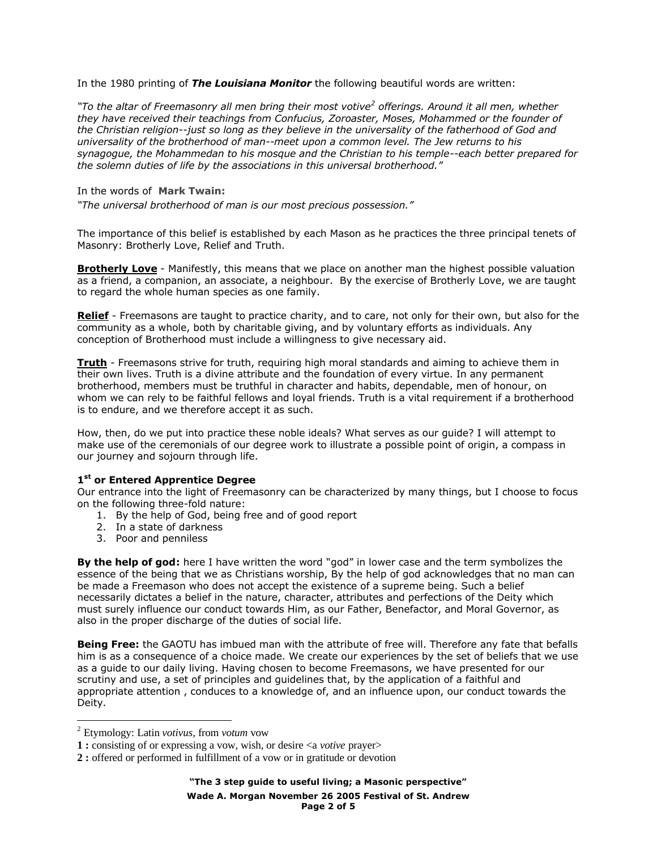In the 1980 printing of *The Louisiana Monitor* the following beautiful words are written:

*"To the altar of Freemasonry all men bring their most votive<sup>2</sup> offerings. Around it all men, whether they have received their teachings from Confucius, Zoroaster, Moses, Mohammed or the founder of the Christian religion--just so long as they believe in the universality of the fatherhood of God and universality of the brotherhood of man--meet upon a common level. The Jew returns to his synagogue, the Mohammedan to his mosque and the Christian to his temple--each better prepared for the solemn duties of life by the associations in this universal brotherhood."*

## In the words of **Mark Twain:**

*"The universal brotherhood of man is our most precious possession."*

The importance of this belief is established by each Mason as he practices the three principal tenets of Masonry: Brotherly Love, Relief and Truth.

**Brotherly Love** - Manifestly, this means that we place on another man the highest possible valuation as a friend, a companion, an associate, a neighbour. By the exercise of Brotherly Love, we are taught to regard the whole human species as one family.

**Relief** - Freemasons are taught to practice charity, and to care, not only for their own, but also for the community as a whole, both by charitable giving, and by voluntary efforts as individuals. Any conception of Brotherhood must include a willingness to give necessary aid.

**Truth** - Freemasons strive for truth, requiring high moral standards and aiming to achieve them in their own lives. Truth is a divine attribute and the foundation of every virtue. In any permanent brotherhood, members must be truthful in character and habits, dependable, men of honour, on whom we can rely to be faithful fellows and loyal friends. Truth is a vital requirement if a brotherhood is to endure, and we therefore accept it as such.

How, then, do we put into practice these noble ideals? What serves as our guide? I will attempt to make use of the ceremonials of our degree work to illustrate a possible point of origin, a compass in our journey and sojourn through life.

## **1 st or Entered Apprentice Degree**

Our entrance into the light of Freemasonry can be characterized by many things, but I choose to focus on the following three-fold nature:

- 1. By the help of God, being free and of good report
- 2. In a state of darkness
- 3. Poor and penniless

**By the help of god:** here I have written the word "god" in lower case and the term symbolizes the essence of the being that we as Christians worship, By the help of god acknowledges that no man can be made a Freemason who does not accept the existence of a supreme being. Such a belief necessarily dictates a belief in the nature, character, attributes and perfections of the Deity which must surely influence our conduct towards Him, as our Father, Benefactor, and Moral Governor, as also in the proper discharge of the duties of social life.

**Being Free:** the GAOTU has imbued man with the attribute of free will. Therefore any fate that befalls him is as a consequence of a choice made. We create our experiences by the set of beliefs that we use as a guide to our daily living. Having chosen to become Freemasons, we have presented for our scrutiny and use, a set of principles and guidelines that, by the application of a faithful and appropriate attention , conduces to a knowledge of, and an influence upon, our conduct towards the Deity.

1

<sup>2</sup> Etymology: Latin *votivus,* from *votum* vow

**<sup>1</sup> :** consisting of or expressing a vow, wish, or desire <a *votive* prayer>

**<sup>2</sup> :** offered or performed in fulfillment of a vow or in gratitude or devotion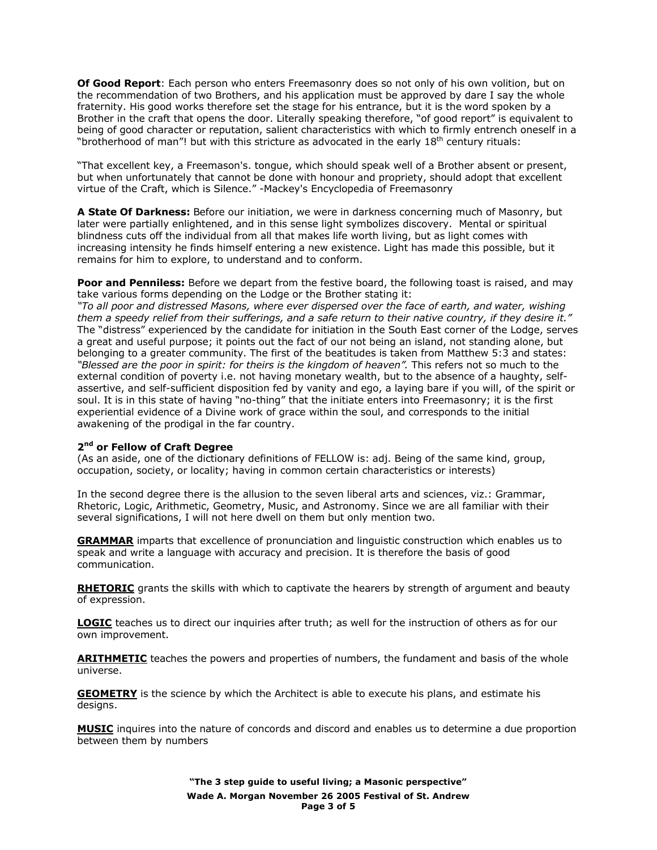**Of Good Report**: Each person who enters Freemasonry does so not only of his own volition, but on the recommendation of two Brothers, and his application must be approved by dare I say the whole fraternity. His good works therefore set the stage for his entrance, but it is the word spoken by a Brother in the craft that opens the door. Literally speaking therefore, "of good report" is equivalent to being of good character or reputation, salient characteristics with which to firmly entrench oneself in a "brotherhood of man"! but with this stricture as advocated in the early 18<sup>th</sup> century rituals:

"That excellent key, a Freemason's. tongue, which should speak well of a Brother absent or present, but when unfortunately that cannot be done with honour and propriety, should adopt that excellent virtue of the Craft, which is Silence." -Mackey's Encyclopedia of Freemasonry

**A State Of Darkness:** Before our initiation, we were in darkness concerning much of Masonry, but later were partially enlightened, and in this sense light symbolizes discovery. Mental or spiritual blindness cuts off the individual from all that makes life worth living, but as light comes with increasing intensity he finds himself entering a new existence. Light has made this possible, but it remains for him to explore, to understand and to conform.

**Poor and Penniless:** Before we depart from the festive board, the following toast is raised, and may take various forms depending on the Lodge or the Brother stating it:

*"To all poor and distressed Masons, where ever dispersed over the face of earth, and water, wishing them a speedy relief from their sufferings, and a safe return to their native country, if they desire it."* The "distress" experienced by the candidate for initiation in the South East corner of the Lodge, serves a great and useful purpose; it points out the fact of our not being an island, not standing alone, but belonging to a greater community. The first of the beatitudes is taken from Matthew 5:3 and states: *"Blessed are the poor in spirit: for theirs is the kingdom of heaven".* This refers not so much to the external condition of poverty i.e. not having monetary wealth, but to the absence of a haughty, selfassertive, and self-sufficient disposition fed by vanity and ego, a laying bare if you will, of the spirit or soul. It is in this state of having "no-thing" that the initiate enters into Freemasonry; it is the first experiential evidence of a Divine work of grace within the soul, and corresponds to the initial awakening of the prodigal in the far country.

#### **2 nd or Fellow of Craft Degree**

(As an aside, one of the dictionary definitions of FELLOW is: adj. Being of the same kind, group, occupation, society, or locality; having in common certain characteristics or interests)

In the second degree there is the allusion to the seven liberal arts and sciences, viz.: Grammar, Rhetoric, Logic, Arithmetic, Geometry, Music, and Astronomy. Since we are all familiar with their several significations, I will not here dwell on them but only mention two.

**GRAMMAR** imparts that excellence of pronunciation and linguistic construction which enables us to speak and write a language with accuracy and precision. It is therefore the basis of good communication.

**RHETORIC** grants the skills with which to captivate the hearers by strength of argument and beauty of expression.

**LOGIC** teaches us to direct our inquiries after truth; as well for the instruction of others as for our own improvement.

**ARITHMETIC** teaches the powers and properties of numbers, the fundament and basis of the whole universe.

**GEOMETRY** is the science by which the Architect is able to execute his plans, and estimate his designs.

**MUSIC** inquires into the nature of concords and discord and enables us to determine a due proportion between them by numbers

> **"The 3 step guide to useful living; a Masonic perspective" Wade A. Morgan November 26 2005 Festival of St. Andrew Page 3 of 5**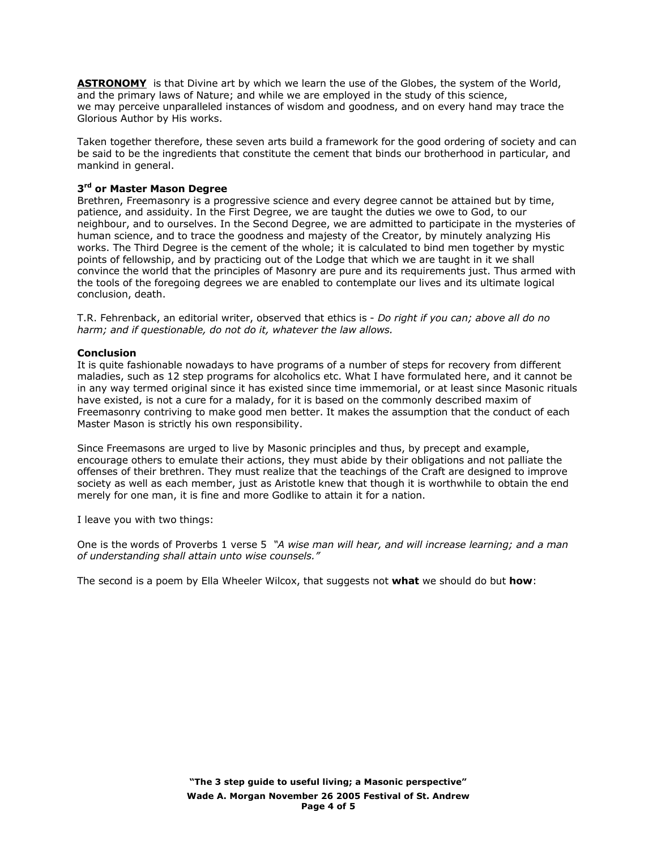**ASTRONOMY** is that Divine art by which we learn the use of the Globes, the system of the World, and the primary laws of Nature; and while we are employed in the study of this science, we may perceive unparalleled instances of wisdom and goodness, and on every hand may trace the Glorious Author by His works.

Taken together therefore, these seven arts build a framework for the good ordering of society and can be said to be the ingredients that constitute the cement that binds our brotherhood in particular, and mankind in general.

## **3 rd or Master Mason Degree**

Brethren, Freemasonry is a progressive science and every degree cannot be attained but by time, patience, and assiduity. In the First Degree, we are taught the duties we owe to God, to our neighbour, and to ourselves. In the Second Degree, we are admitted to participate in the mysteries of human science, and to trace the goodness and majesty of the Creator, by minutely analyzing His works. The Third Degree is the cement of the whole; it is calculated to bind men together by mystic points of fellowship, and by practicing out of the Lodge that which we are taught in it we shall convince the world that the principles of Masonry are pure and its requirements just. Thus armed with the tools of the foregoing degrees we are enabled to contemplate our lives and its ultimate logical conclusion, death.

T.R. Fehrenback, an editorial writer, observed that ethics is - *Do right if you can; above all do no harm; and if questionable, do not do it, whatever the law allows.*

#### **Conclusion**

It is quite fashionable nowadays to have programs of a number of steps for recovery from different maladies, such as 12 step programs for alcoholics etc. What I have formulated here, and it cannot be in any way termed original since it has existed since time immemorial, or at least since Masonic rituals have existed, is not a cure for a malady, for it is based on the commonly described maxim of Freemasonry contriving to make good men better. It makes the assumption that the conduct of each Master Mason is strictly his own responsibility.

Since Freemasons are urged to live by Masonic principles and thus, by precept and example, encourage others to emulate their actions, they must abide by their obligations and not palliate the offenses of their brethren. They must realize that the teachings of the Craft are designed to improve society as well as each member, just as Aristotle knew that though it is worthwhile to obtain the end merely for one man, it is fine and more Godlike to attain it for a nation.

I leave you with two things:

One is the words of Proverbs 1 verse 5 *"A wise man will hear, and will increase learning; and a man of understanding shall attain unto wise counsels."*

The second is a poem by Ella Wheeler Wilcox, that suggests not **what** we should do but **how**: